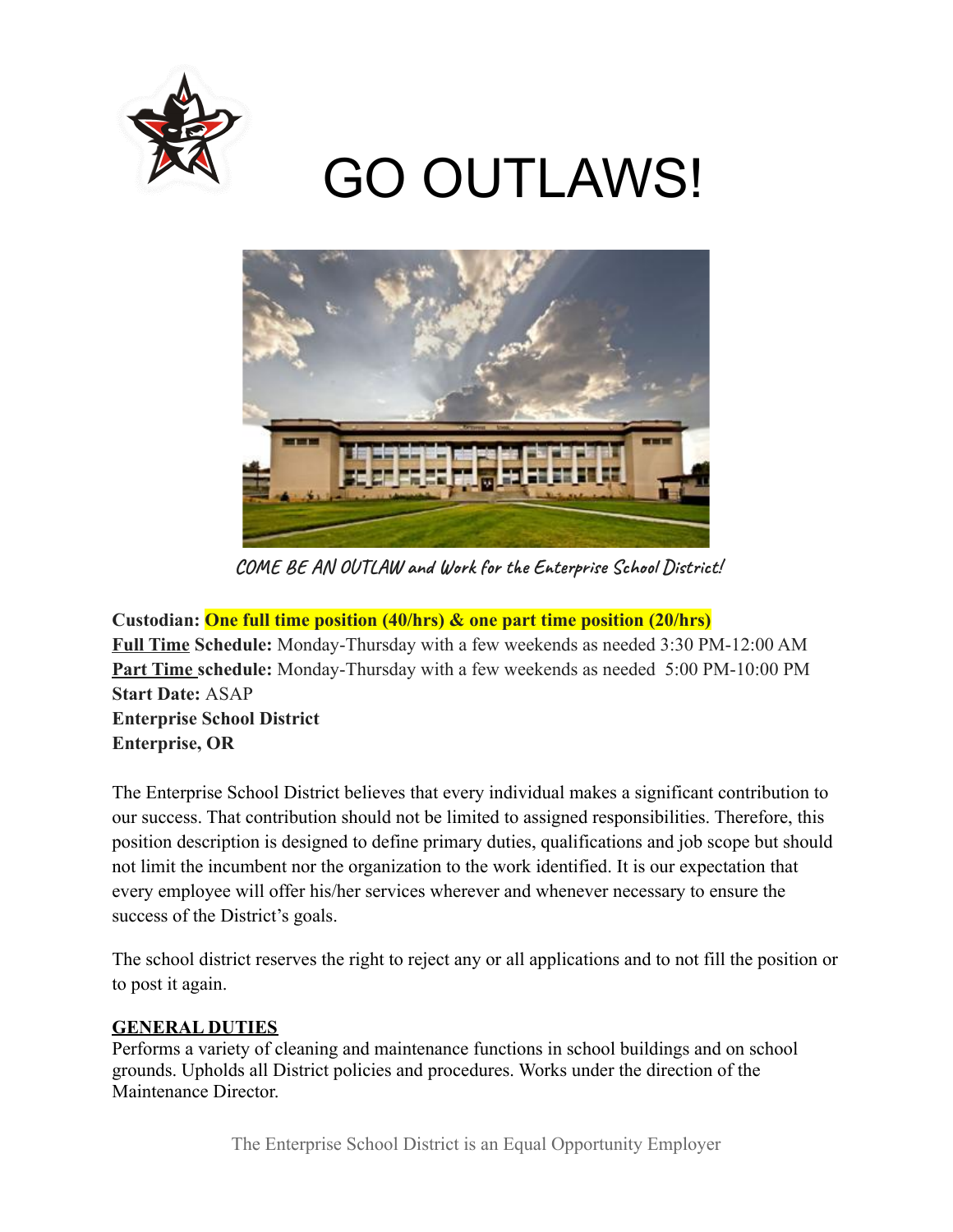

# GO OUTLAWS!



**COME BE AN OUTLAW and Work for the Enterprise School District!**

**Custodian: One full time position (40/hrs) & one part time position (20/hrs) Full Time Schedule:** Monday-Thursday with a few weekends as needed 3:30 PM-12:00 AM **Part Time schedule:** Monday-Thursday with a few weekends as needed 5:00 PM-10:00 PM **Start Date:** ASAP **Enterprise School District Enterprise, OR**

The Enterprise School District believes that every individual makes a significant contribution to our success. That contribution should not be limited to assigned responsibilities. Therefore, this position description is designed to define primary duties, qualifications and job scope but should not limit the incumbent nor the organization to the work identified. It is our expectation that every employee will offer his/her services wherever and whenever necessary to ensure the success of the District's goals.

The school district reserves the right to reject any or all applications and to not fill the position or to post it again.

## **GENERAL DUTIES**

Performs a variety of cleaning and maintenance functions in school buildings and on school grounds. Upholds all District policies and procedures. Works under the direction of the Maintenance Director.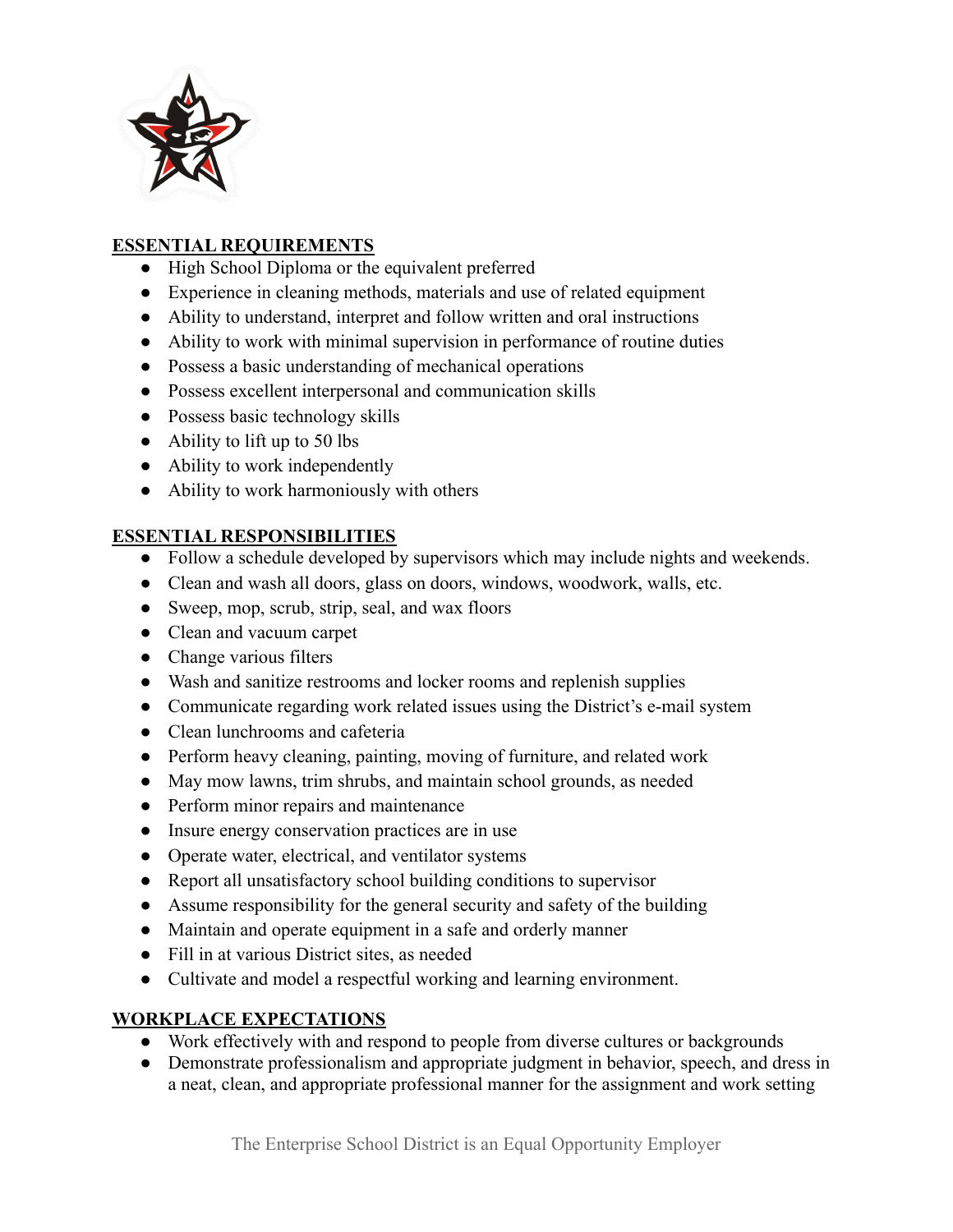

# **ESSENTIAL REQUIREMENTS**

- High School Diploma or the equivalent preferred
- Experience in cleaning methods, materials and use of related equipment
- Ability to understand, interpret and follow written and oral instructions
- Ability to work with minimal supervision in performance of routine duties
- Possess a basic understanding of mechanical operations
- Possess excellent interpersonal and communication skills
- Possess basic technology skills
- $\bullet$  Ability to lift up to 50 lbs
- Ability to work independently
- Ability to work harmoniously with others

## **ESSENTIAL RESPONSIBILITIES**

- Follow a schedule developed by supervisors which may include nights and weekends.
- Clean and wash all doors, glass on doors, windows, woodwork, walls, etc.
- Sweep, mop, scrub, strip, seal, and wax floors
- Clean and vacuum carpet
- Change various filters
- Wash and sanitize restrooms and locker rooms and replenish supplies
- Communicate regarding work related issues using the District's e-mail system
- Clean lunchrooms and cafeteria
- Perform heavy cleaning, painting, moving of furniture, and related work
- May mow lawns, trim shrubs, and maintain school grounds, as needed
- Perform minor repairs and maintenance
- Insure energy conservation practices are in use
- Operate water, electrical, and ventilator systems
- Report all unsatisfactory school building conditions to supervisor
- Assume responsibility for the general security and safety of the building
- Maintain and operate equipment in a safe and orderly manner
- Fill in at various District sites, as needed
- Cultivate and model a respectful working and learning environment.

# **WORKPLACE EXPECTATIONS**

- Work effectively with and respond to people from diverse cultures or backgrounds
- Demonstrate professionalism and appropriate judgment in behavior, speech, and dress in a neat, clean, and appropriate professional manner for the assignment and work setting